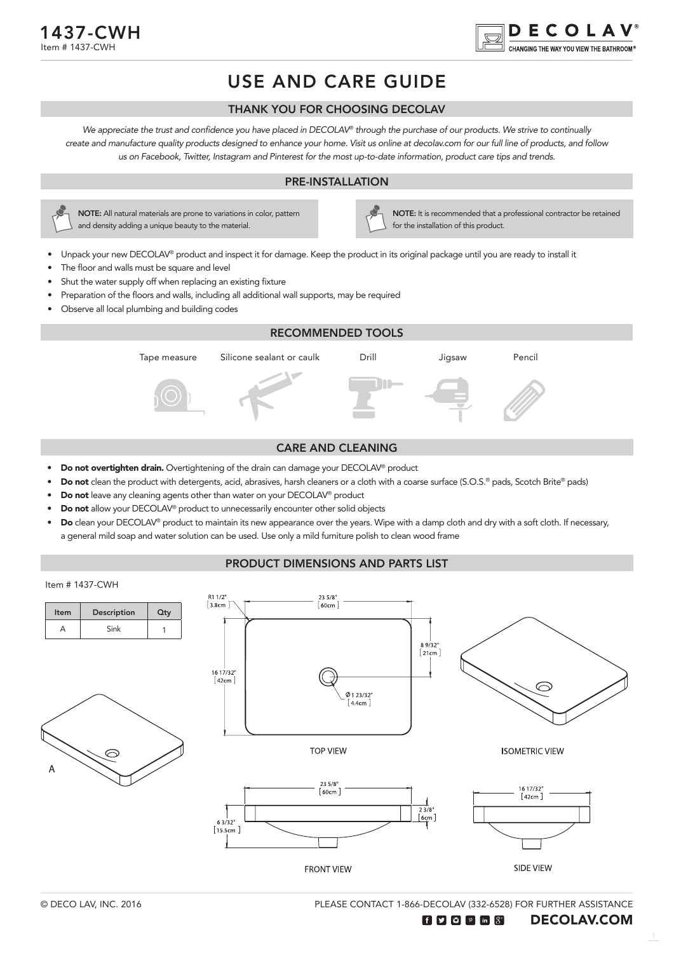



## USE AND CARE GUIDE

#### THANK YOU FOR CHOOSING DECOLAV

We appreciate the trust and confidence you have placed in DECOLAV*®* through the purchase of our products. We strive to continually create and manufacture quality products designed to enhance your home. Visit us online at decolav.com for our full line of products, and follow us on Facebook, Twitter, Instagram and Pinterest for the most up-to-date information, product care tips and trends.

#### PRE-INSTALLATION



NOTE: All natural materials are prone to variations in color, pattern and density adding a unique beauty to the material.

NOTE: It is recommended that a professional contractor be retained for the installation of this product.

- Unpack your new DECOLAV® product and inspect it for damage. Keep the product in its original package until you are ready to install it
- The floor and walls must be square and level
- Shut the water supply off when replacing an existing fixture
- Preparation of the floors and walls, including all additional wall supports, may be required
- Observe all local plumbing and building codes



#### CARE AND CLEANING

- Do not overtighten drain. Overtightening of the drain can damage your DECOLAV® product
- Do not clean the product with detergents, acid, abrasives, harsh cleaners or a cloth with a coarse surface (S.O.S.® pads, Scotch Brite® pads)
- Do not leave any cleaning agents other than water on your DECOLAV® product
- **Do not** allow your DECOLAV<sup>®</sup> product to unnecessarily encounter other solid objects
- Do clean your DECOLAV® product to maintain its new appearance over the years. Wipe with a damp cloth and dry with a soft cloth. If necessary, a general mild soap and water solution can be used. Use only a mild furniture polish to clean wood frame

#### PRODUCT DIMENSIONS AND PARTS LIST



PLEASE CONTACT 1-866-DECOLAV (332-6528) FOR FURTHER ASSISTANCE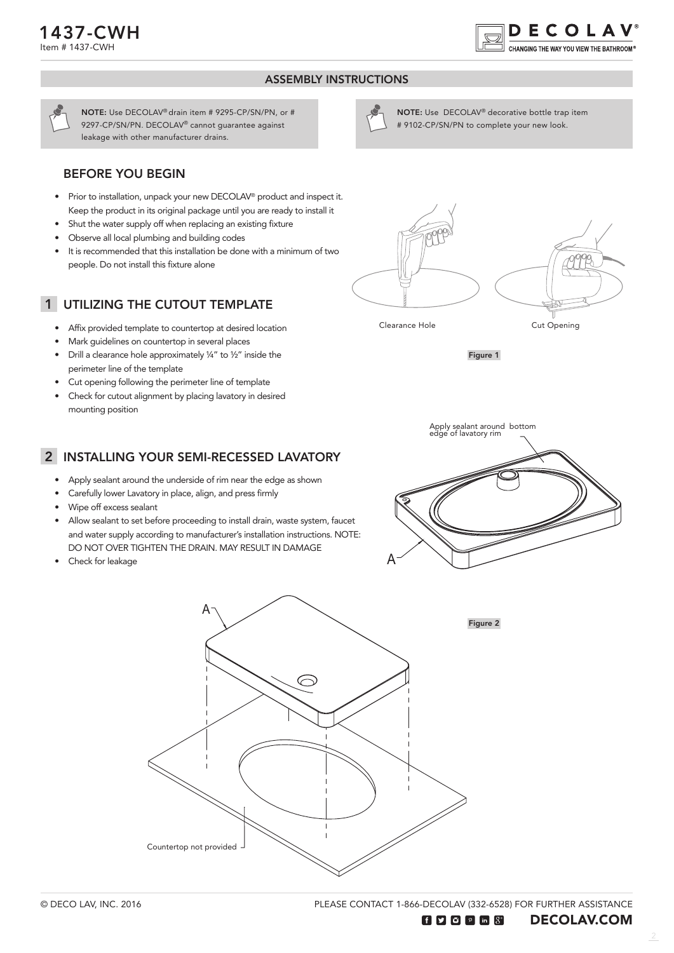

#### ASSEMBLY INSTRUCTIONS



NOTE: Use DECOLAV® drain item # 9295-CP/SN/PN, or # 9297-CP/SN/PN. DECOLAV® cannot guarantee against leakage with other manufacturer drains.

#### BEFORE YOU BEGIN

- Prior to installation, unpack your new DECOLAV® product and inspect it. Keep the product in its original package until you are ready to install it
- Shut the water supply off when replacing an existing fixture
- Observe all local plumbing and building codes
- It is recommended that this installation be done with a minimum of two people. Do not install this fixture alone

## 1 UTILIZING THE CUTOUT TEMPLATE

- Affix provided template to countertop at desired location
- Mark guidelines on countertop in several places
- Drill a clearance hole approximately ¼" to ½" inside the perimeter line of the template
- Cut opening following the perimeter line of template
- Check for cutout alignment by placing lavatory in desired mounting position



NOTE: Use DECOLAV® decorative bottle trap item # 9102-CP/SN/PN to complete your new look.

Figure 1

### 2 INSTALLING YOUR SEMI-RECESSED LAVATORY

- Apply sealant around the underside of rim near the edge as shown
- Carefully lower Lavatory in place, align, and press firmly
- Wipe off excess sealant
- Allow sealant to set before proceeding to install drain, waste system, faucet and water supply according to manufacturer's installation instructions. NOTE: DO NOT OVER TIGHTEN THE DRAIN. MAY RESULT IN DAMAGE
- Check for leakage